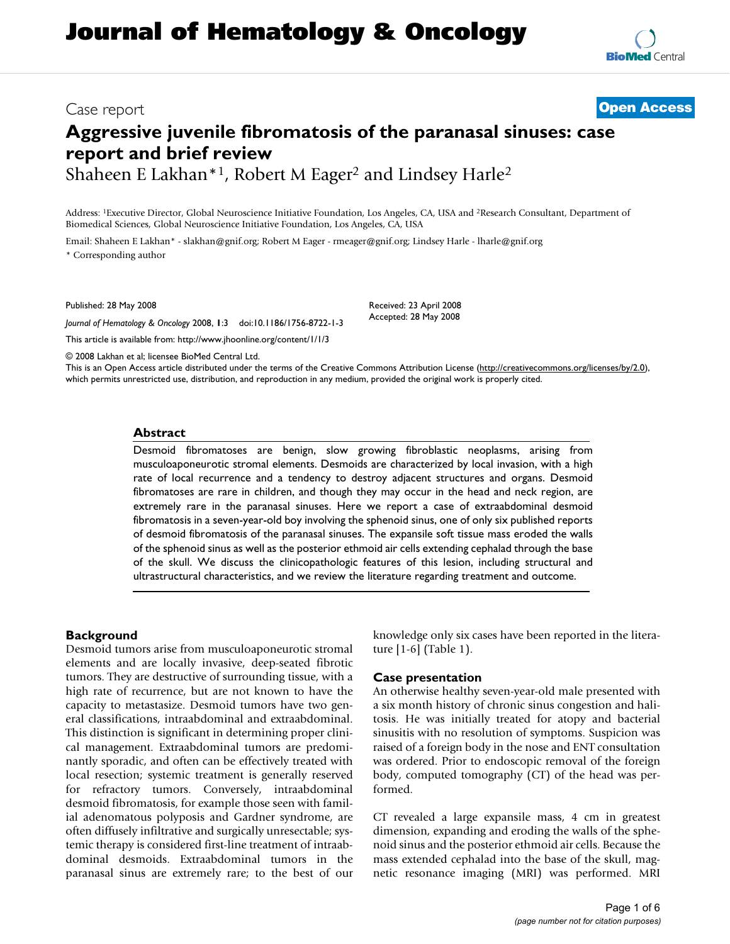# **Aggressive juvenile fibromatosis of the paranasal sinuses: case report and brief review**

Shaheen E Lakhan<sup>\*1</sup>, Robert M Eager<sup>2</sup> and Lindsey Harle<sup>2</sup>

Address: 1Executive Director, Global Neuroscience Initiative Foundation, Los Angeles, CA, USA and 2Research Consultant, Department of Biomedical Sciences, Global Neuroscience Initiative Foundation, Los Angeles, CA, USA

Email: Shaheen E Lakhan\* - slakhan@gnif.org; Robert M Eager - rmeager@gnif.org; Lindsey Harle - lharle@gnif.org \* Corresponding author

Published: 28 May 2008

*Journal of Hematology & Oncology* 2008, **1**:3 doi:10.1186/1756-8722-1-3

[This article is available from: http://www.jhoonline.org/content/1/1/3](http://www.jhoonline.org/content/1/1/3)

Received: 23 April 2008 Accepted: 28 May 2008

© 2008 Lakhan et al; licensee BioMed Central Ltd.

This is an Open Access article distributed under the terms of the Creative Commons Attribution License [\(http://creativecommons.org/licenses/by/2.0\)](http://creativecommons.org/licenses/by/2.0), which permits unrestricted use, distribution, and reproduction in any medium, provided the original work is properly cited.

#### **Abstract**

Desmoid fibromatoses are benign, slow growing fibroblastic neoplasms, arising from musculoaponeurotic stromal elements. Desmoids are characterized by local invasion, with a high rate of local recurrence and a tendency to destroy adjacent structures and organs. Desmoid fibromatoses are rare in children, and though they may occur in the head and neck region, are extremely rare in the paranasal sinuses. Here we report a case of extraabdominal desmoid fibromatosis in a seven-year-old boy involving the sphenoid sinus, one of only six published reports of desmoid fibromatosis of the paranasal sinuses. The expansile soft tissue mass eroded the walls of the sphenoid sinus as well as the posterior ethmoid air cells extending cephalad through the base of the skull. We discuss the clinicopathologic features of this lesion, including structural and ultrastructural characteristics, and we review the literature regarding treatment and outcome.

#### **Background**

Desmoid tumors arise from musculoaponeurotic stromal elements and are locally invasive, deep-seated fibrotic tumors. They are destructive of surrounding tissue, with a high rate of recurrence, but are not known to have the capacity to metastasize. Desmoid tumors have two general classifications, intraabdominal and extraabdominal. This distinction is significant in determining proper clinical management. Extraabdominal tumors are predominantly sporadic, and often can be effectively treated with local resection; systemic treatment is generally reserved for refractory tumors. Conversely, intraabdominal desmoid fibromatosis, for example those seen with familial adenomatous polyposis and Gardner syndrome, are often diffusely infiltrative and surgically unresectable; systemic therapy is considered first-line treatment of intraabdominal desmoids. Extraabdominal tumors in the paranasal sinus are extremely rare; to the best of our knowledge only six cases have been reported in the literature [1-6] (Table 1).

#### **Case presentation**

An otherwise healthy seven-year-old male presented with a six month history of chronic sinus congestion and halitosis. He was initially treated for atopy and bacterial sinusitis with no resolution of symptoms. Suspicion was raised of a foreign body in the nose and ENT consultation was ordered. Prior to endoscopic removal of the foreign body, computed tomography (CT) of the head was performed.

CT revealed a large expansile mass, 4 cm in greatest dimension, expanding and eroding the walls of the sphenoid sinus and the posterior ethmoid air cells. Because the mass extended cephalad into the base of the skull, magnetic resonance imaging (MRI) was performed. MRI

## Case report **[Open Access](http://www.biomedcentral.com/info/about/charter/)**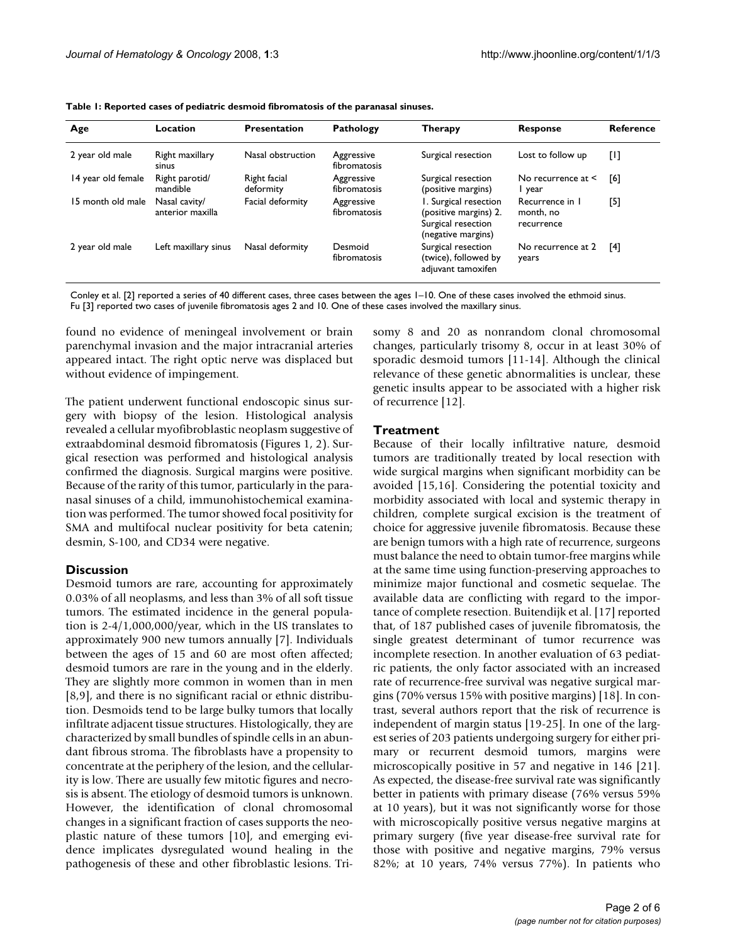| Table 1: Reported cases of pediatric desmoid fibromatosis of the paranasal sinuses. |  |  |
|-------------------------------------------------------------------------------------|--|--|
|-------------------------------------------------------------------------------------|--|--|

| Age                | Location                          | <b>Presentation</b>       | Pathology                  | <b>Therapy</b>                                                                             | <b>Response</b>                            | Reference |
|--------------------|-----------------------------------|---------------------------|----------------------------|--------------------------------------------------------------------------------------------|--------------------------------------------|-----------|
| 2 year old male    | Right maxillary<br>sinus          | Nasal obstruction         | Aggressive<br>fibromatosis | Surgical resection                                                                         | Lost to follow up                          | [1]       |
| 14 year old female | Right parotid/<br>mandible        | Right facial<br>deformity | Aggressive<br>fibromatosis | Surgical resection<br>(positive margins)                                                   | No recurrence at $\leq$<br>I year          | [6]       |
| 15 month old male  | Nasal cavity/<br>anterior maxilla | Facial deformity          | Aggressive<br>fibromatosis | I. Surgical resection<br>(positive margins) 2.<br>Surgical resection<br>(negative margins) | Recurrence in 1<br>month, no<br>recurrence | [5]       |
| 2 year old male    | Left maxillary sinus              | Nasal deformity           | Desmoid<br>fibromatosis    | Surgical resection<br>(twice), followed by<br>adjuvant tamoxifen                           | No recurrence at 2<br>years                | [4]       |

Conley et al. [2] reported a series of 40 different cases, three cases between the ages 1–10. One of these cases involved the ethmoid sinus. Fu [3] reported two cases of juvenile fibromatosis ages 2 and 10. One of these cases involved the maxillary sinus.

found no evidence of meningeal involvement or brain parenchymal invasion and the major intracranial arteries appeared intact. The right optic nerve was displaced but without evidence of impingement.

The patient underwent functional endoscopic sinus surgery with biopsy of the lesion. Histological analysis revealed a cellular myofibroblastic neoplasm suggestive of extraabdominal desmoid fibromatosis (Figures 1, 2). Surgical resection was performed and histological analysis confirmed the diagnosis. Surgical margins were positive. Because of the rarity of this tumor, particularly in the paranasal sinuses of a child, immunohistochemical examination was performed. The tumor showed focal positivity for SMA and multifocal nuclear positivity for beta catenin; desmin, S-100, and CD34 were negative.

#### **Discussion**

Desmoid tumors are rare, accounting for approximately 0.03% of all neoplasms, and less than 3% of all soft tissue tumors. The estimated incidence in the general population is 2-4/1,000,000/year, which in the US translates to approximately 900 new tumors annually [7]. Individuals between the ages of 15 and 60 are most often affected; desmoid tumors are rare in the young and in the elderly. They are slightly more common in women than in men [8,9], and there is no significant racial or ethnic distribution. Desmoids tend to be large bulky tumors that locally infiltrate adjacent tissue structures. Histologically, they are characterized by small bundles of spindle cells in an abundant fibrous stroma. The fibroblasts have a propensity to concentrate at the periphery of the lesion, and the cellularity is low. There are usually few mitotic figures and necrosis is absent. The etiology of desmoid tumors is unknown. However, the identification of clonal chromosomal changes in a significant fraction of cases supports the neoplastic nature of these tumors [10], and emerging evidence implicates dysregulated wound healing in the pathogenesis of these and other fibroblastic lesions. Trisomy 8 and 20 as nonrandom clonal chromosomal changes, particularly trisomy 8, occur in at least 30% of sporadic desmoid tumors [11-14]. Although the clinical relevance of these genetic abnormalities is unclear, these genetic insults appear to be associated with a higher risk of recurrence [12].

#### **Treatment**

Because of their locally infiltrative nature, desmoid tumors are traditionally treated by local resection with wide surgical margins when significant morbidity can be avoided [15,16]. Considering the potential toxicity and morbidity associated with local and systemic therapy in children, complete surgical excision is the treatment of choice for aggressive juvenile fibromatosis. Because these are benign tumors with a high rate of recurrence, surgeons must balance the need to obtain tumor-free margins while at the same time using function-preserving approaches to minimize major functional and cosmetic sequelae. The available data are conflicting with regard to the importance of complete resection. Buitendijk et al. [17] reported that, of 187 published cases of juvenile fibromatosis, the single greatest determinant of tumor recurrence was incomplete resection. In another evaluation of 63 pediatric patients, the only factor associated with an increased rate of recurrence-free survival was negative surgical margins (70% versus 15% with positive margins) [18]. In contrast, several authors report that the risk of recurrence is independent of margin status [19-25]. In one of the largest series of 203 patients undergoing surgery for either primary or recurrent desmoid tumors, margins were microscopically positive in 57 and negative in 146 [21]. As expected, the disease-free survival rate was significantly better in patients with primary disease (76% versus 59% at 10 years), but it was not significantly worse for those with microscopically positive versus negative margins at primary surgery (five year disease-free survival rate for those with positive and negative margins, 79% versus 82%; at 10 years, 74% versus 77%). In patients who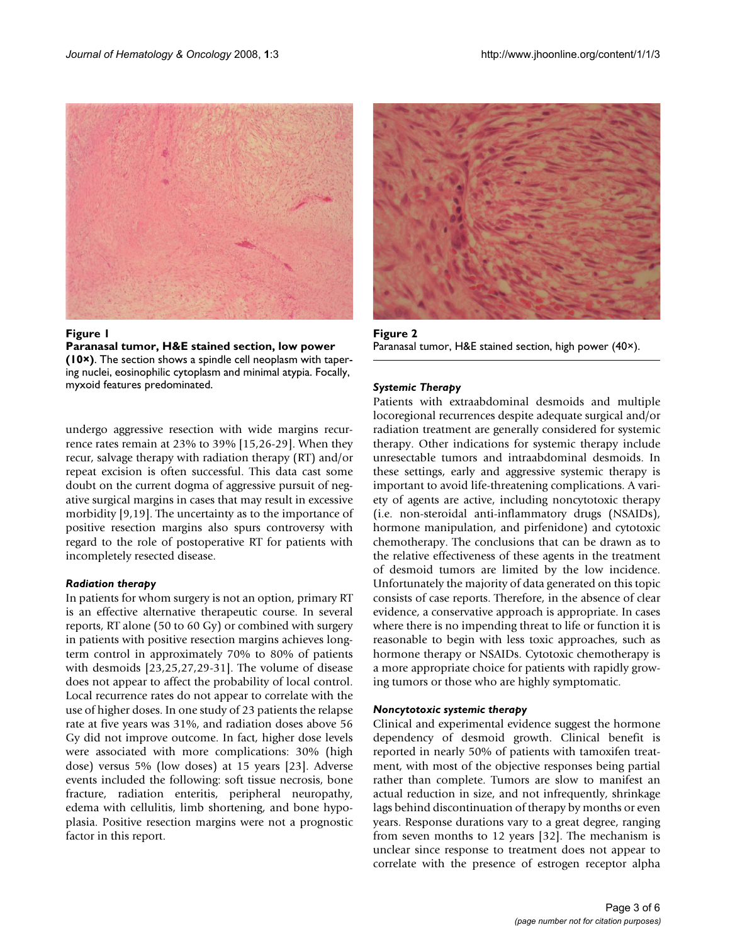

**Figure 1 Paranasal tumor, H&E stained section, low power (10×)**. The section shows a spindle cell neoplasm with tapering nuclei, eosinophilic cytoplasm and minimal atypia. Focally, myxoid features predominated.

undergo aggressive resection with wide margins recurrence rates remain at 23% to 39% [15,26-29]. When they recur, salvage therapy with radiation therapy (RT) and/or repeat excision is often successful. This data cast some doubt on the current dogma of aggressive pursuit of negative surgical margins in cases that may result in excessive morbidity [9,19]. The uncertainty as to the importance of positive resection margins also spurs controversy with regard to the role of postoperative RT for patients with incompletely resected disease.

#### *Radiation therapy*

In patients for whom surgery is not an option, primary RT is an effective alternative therapeutic course. In several reports, RT alone (50 to 60 Gy) or combined with surgery in patients with positive resection margins achieves longterm control in approximately 70% to 80% of patients with desmoids [23,25,27,29-31]. The volume of disease does not appear to affect the probability of local control. Local recurrence rates do not appear to correlate with the use of higher doses. In one study of 23 patients the relapse rate at five years was 31%, and radiation doses above 56 Gy did not improve outcome. In fact, higher dose levels were associated with more complications: 30% (high dose) versus 5% (low doses) at 15 years [23]. Adverse events included the following: soft tissue necrosis, bone fracture, radiation enteritis, peripheral neuropathy, edema with cellulitis, limb shortening, and bone hypoplasia. Positive resection margins were not a prognostic factor in this report.



**Figure 2** Paranasal tumor, H&E stained section, high power (40×).

#### *Systemic Therapy*

Patients with extraabdominal desmoids and multiple locoregional recurrences despite adequate surgical and/or radiation treatment are generally considered for systemic therapy. Other indications for systemic therapy include unresectable tumors and intraabdominal desmoids. In these settings, early and aggressive systemic therapy is important to avoid life-threatening complications. A variety of agents are active, including noncytotoxic therapy (i.e. non-steroidal anti-inflammatory drugs (NSAIDs), hormone manipulation, and pirfenidone) and cytotoxic chemotherapy. The conclusions that can be drawn as to the relative effectiveness of these agents in the treatment of desmoid tumors are limited by the low incidence. Unfortunately the majority of data generated on this topic consists of case reports. Therefore, in the absence of clear evidence, a conservative approach is appropriate. In cases where there is no impending threat to life or function it is reasonable to begin with less toxic approaches, such as hormone therapy or NSAIDs. Cytotoxic chemotherapy is a more appropriate choice for patients with rapidly growing tumors or those who are highly symptomatic.

#### *Noncytotoxic systemic therapy*

Clinical and experimental evidence suggest the hormone dependency of desmoid growth. Clinical benefit is reported in nearly 50% of patients with tamoxifen treatment, with most of the objective responses being partial rather than complete. Tumors are slow to manifest an actual reduction in size, and not infrequently, shrinkage lags behind discontinuation of therapy by months or even years. Response durations vary to a great degree, ranging from seven months to 12 years [32]. The mechanism is unclear since response to treatment does not appear to correlate with the presence of estrogen receptor alpha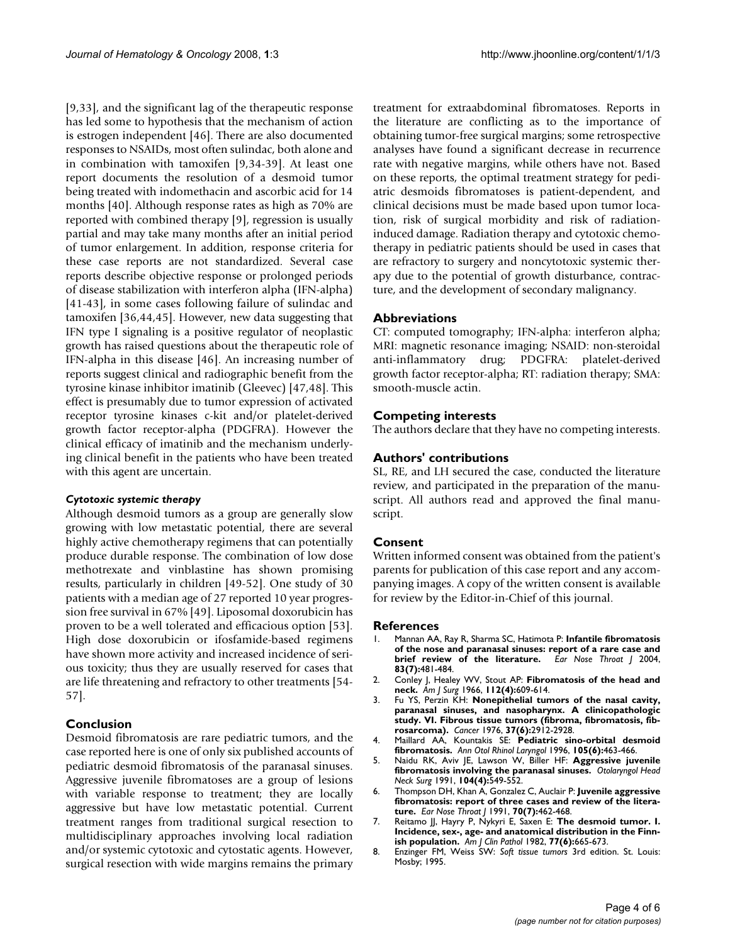[9,33], and the significant lag of the therapeutic response has led some to hypothesis that the mechanism of action is estrogen independent [46]. There are also documented responses to NSAIDs, most often sulindac, both alone and in combination with tamoxifen [9,34-39]. At least one report documents the resolution of a desmoid tumor being treated with indomethacin and ascorbic acid for 14 months [40]. Although response rates as high as 70% are reported with combined therapy [9], regression is usually partial and may take many months after an initial period of tumor enlargement. In addition, response criteria for these case reports are not standardized. Several case reports describe objective response or prolonged periods of disease stabilization with interferon alpha (IFN-alpha) [41-43], in some cases following failure of sulindac and tamoxifen [36,44,45]. However, new data suggesting that IFN type I signaling is a positive regulator of neoplastic growth has raised questions about the therapeutic role of IFN-alpha in this disease [46]. An increasing number of reports suggest clinical and radiographic benefit from the tyrosine kinase inhibitor imatinib (Gleevec) [47,48]. This effect is presumably due to tumor expression of activated receptor tyrosine kinases c-kit and/or platelet-derived growth factor receptor-alpha (PDGFRA). However the clinical efficacy of imatinib and the mechanism underlying clinical benefit in the patients who have been treated with this agent are uncertain.

#### *Cytotoxic systemic therapy*

Although desmoid tumors as a group are generally slow growing with low metastatic potential, there are several highly active chemotherapy regimens that can potentially produce durable response. The combination of low dose methotrexate and vinblastine has shown promising results, particularly in children [49-52]. One study of 30 patients with a median age of 27 reported 10 year progression free survival in 67% [49]. Liposomal doxorubicin has proven to be a well tolerated and efficacious option [53]. High dose doxorubicin or ifosfamide-based regimens have shown more activity and increased incidence of serious toxicity; thus they are usually reserved for cases that are life threatening and refractory to other treatments [54- 57].

#### **Conclusion**

Desmoid fibromatosis are rare pediatric tumors, and the case reported here is one of only six published accounts of pediatric desmoid fibromatosis of the paranasal sinuses. Aggressive juvenile fibromatoses are a group of lesions with variable response to treatment; they are locally aggressive but have low metastatic potential. Current treatment ranges from traditional surgical resection to multidisciplinary approaches involving local radiation and/or systemic cytotoxic and cytostatic agents. However, surgical resection with wide margins remains the primary treatment for extraabdominal fibromatoses. Reports in the literature are conflicting as to the importance of obtaining tumor-free surgical margins; some retrospective analyses have found a significant decrease in recurrence rate with negative margins, while others have not. Based on these reports, the optimal treatment strategy for pediatric desmoids fibromatoses is patient-dependent, and clinical decisions must be made based upon tumor location, risk of surgical morbidity and risk of radiationinduced damage. Radiation therapy and cytotoxic chemotherapy in pediatric patients should be used in cases that are refractory to surgery and noncytotoxic systemic therapy due to the potential of growth disturbance, contracture, and the development of secondary malignancy.

### **Abbreviations**

CT: computed tomography; IFN-alpha: interferon alpha; MRI: magnetic resonance imaging; NSAID: non-steroidal anti-inflammatory drug; PDGFRA: platelet-derived growth factor receptor-alpha; RT: radiation therapy; SMA: smooth-muscle actin.

#### **Competing interests**

The authors declare that they have no competing interests.

### **Authors' contributions**

SL, RE, and LH secured the case, conducted the literature review, and participated in the preparation of the manuscript. All authors read and approved the final manuscript.

#### **Consent**

Written informed consent was obtained from the patient's parents for publication of this case report and any accompanying images. A copy of the written consent is available for review by the Editor-in-Chief of this journal.

#### **References**

- 1. Mannan AA, Ray R, Sharma SC, Hatimota P: **[Infantile fibromatosis](http://www.ncbi.nlm.nih.gov/entrez/query.fcgi?cmd=Retrieve&db=PubMed&dopt=Abstract&list_uids=15372920) [of the nose and paranasal sinuses: report of a rare case and](http://www.ncbi.nlm.nih.gov/entrez/query.fcgi?cmd=Retrieve&db=PubMed&dopt=Abstract&list_uids=15372920) [brief review of the literature.](http://www.ncbi.nlm.nih.gov/entrez/query.fcgi?cmd=Retrieve&db=PubMed&dopt=Abstract&list_uids=15372920)** *Ear Nose Throat J* 2004, **83(7):**481-484.
- 2. Conley J, Healey WV, Stout AP: **[Fibromatosis of the head and](http://www.ncbi.nlm.nih.gov/entrez/query.fcgi?cmd=Retrieve&db=PubMed&dopt=Abstract&list_uids=5915309) [neck.](http://www.ncbi.nlm.nih.gov/entrez/query.fcgi?cmd=Retrieve&db=PubMed&dopt=Abstract&list_uids=5915309)** *Am J Surg* 1966, **112(4):**609-614.
- 3. Fu YS, Perzin KH: **[Nonepithelial tumors of the nasal cavity,](http://www.ncbi.nlm.nih.gov/entrez/query.fcgi?cmd=Retrieve&db=PubMed&dopt=Abstract&list_uids=949712) [paranasal sinuses, and nasopharynx. A clinicopathologic](http://www.ncbi.nlm.nih.gov/entrez/query.fcgi?cmd=Retrieve&db=PubMed&dopt=Abstract&list_uids=949712) study. VI. Fibrous tissue tumors (fibroma, fibromatosis, fib[rosarcoma\).](http://www.ncbi.nlm.nih.gov/entrez/query.fcgi?cmd=Retrieve&db=PubMed&dopt=Abstract&list_uids=949712)** *Cancer* 1976, **37(6):**2912-2928.
- 4. Maillard AA, Kountakis SE: **[Pediatric sino-orbital desmoid](http://www.ncbi.nlm.nih.gov/entrez/query.fcgi?cmd=Retrieve&db=PubMed&dopt=Abstract&list_uids=8638898) [fibromatosis.](http://www.ncbi.nlm.nih.gov/entrez/query.fcgi?cmd=Retrieve&db=PubMed&dopt=Abstract&list_uids=8638898)** *Ann Otol Rhinol Laryngol* 1996, **105(6):**463-466.
- 5. Naidu RK, Aviv JE, Lawson W, Biller HF: **[Aggressive juvenile](http://www.ncbi.nlm.nih.gov/entrez/query.fcgi?cmd=Retrieve&db=PubMed&dopt=Abstract&list_uids=1903871) [fibromatosis involving the paranasal sinuses.](http://www.ncbi.nlm.nih.gov/entrez/query.fcgi?cmd=Retrieve&db=PubMed&dopt=Abstract&list_uids=1903871)** *Otolaryngol Head Neck Surg* 1991, **104(4):**549-552.
- 6. Thompson DH, Khan A, Gonzalez C, Auclair P: **[Juvenile aggressive](http://www.ncbi.nlm.nih.gov/entrez/query.fcgi?cmd=Retrieve&db=PubMed&dopt=Abstract&list_uids=1914969) [fibromatosis: report of three cases and review of the litera](http://www.ncbi.nlm.nih.gov/entrez/query.fcgi?cmd=Retrieve&db=PubMed&dopt=Abstract&list_uids=1914969)[ture.](http://www.ncbi.nlm.nih.gov/entrez/query.fcgi?cmd=Retrieve&db=PubMed&dopt=Abstract&list_uids=1914969)** *Ear Nose Throat J* 1991, **70(7):**462-468.
- 7. Reitamo JJ, Hayry P, Nykyri E, Saxen E: **[The desmoid tumor. I.](http://www.ncbi.nlm.nih.gov/entrez/query.fcgi?cmd=Retrieve&db=PubMed&dopt=Abstract&list_uids=7091046) [Incidence, sex-, age- and anatomical distribution in the Finn](http://www.ncbi.nlm.nih.gov/entrez/query.fcgi?cmd=Retrieve&db=PubMed&dopt=Abstract&list_uids=7091046)[ish population.](http://www.ncbi.nlm.nih.gov/entrez/query.fcgi?cmd=Retrieve&db=PubMed&dopt=Abstract&list_uids=7091046)** *Am J Clin Pathol* 1982, **77(6):**665-673.
- 8. Enzinger FM, Weiss SW: *Soft tissue tumors* 3rd edition. St. Louis: Mosby; 1995.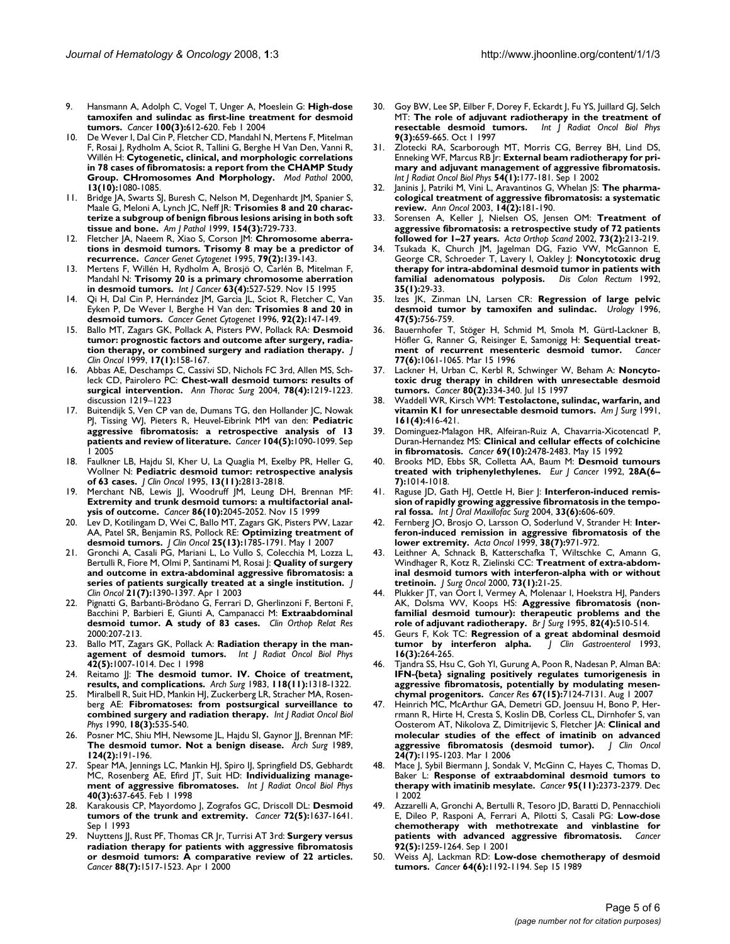- 9. Hansmann A, Adolph C, Vogel T, Unger A, Moeslein G: **[High-dose](http://www.ncbi.nlm.nih.gov/entrez/query.fcgi?cmd=Retrieve&db=PubMed&dopt=Abstract&list_uids=14745880) [tamoxifen and sulindac as first-line treatment for desmoid](http://www.ncbi.nlm.nih.gov/entrez/query.fcgi?cmd=Retrieve&db=PubMed&dopt=Abstract&list_uids=14745880) [tumors.](http://www.ncbi.nlm.nih.gov/entrez/query.fcgi?cmd=Retrieve&db=PubMed&dopt=Abstract&list_uids=14745880)** *Cancer* **100(3):**612-620. Feb 1 2004
- 10. De Wever I, Dal Cin P, Fletcher CD, Mandahl N, Mertens F, Mitelman F, Rosai J, Rydholm A, Sciot R, Tallini G, Berghe H Van Den, Vanni R, Willén H: **[Cytogenetic, clinical, and morphologic correlations](http://www.ncbi.nlm.nih.gov/entrez/query.fcgi?cmd=Retrieve&db=PubMed&dopt=Abstract&list_uids=11048801) [in 78 cases of fibromatosis: a report from the CHAMP Study](http://www.ncbi.nlm.nih.gov/entrez/query.fcgi?cmd=Retrieve&db=PubMed&dopt=Abstract&list_uids=11048801) [Group. CHromosomes And Morphology.](http://www.ncbi.nlm.nih.gov/entrez/query.fcgi?cmd=Retrieve&db=PubMed&dopt=Abstract&list_uids=11048801)** *Mod Pathol* 2000, **13(10):**1080-1085.
- 11. Bridge JA, Swarts SJ, Buresh C, Nelson M, Degenhardt JM, Spanier S, Maale G, Meloni A, Lynch JC, Neff JR: **[Trisomies 8 and 20 charac](http://www.ncbi.nlm.nih.gov/entrez/query.fcgi?cmd=Retrieve&db=PubMed&dopt=Abstract&list_uids=10079250)[terize a subgroup of benign fibrous lesions arising in both soft](http://www.ncbi.nlm.nih.gov/entrez/query.fcgi?cmd=Retrieve&db=PubMed&dopt=Abstract&list_uids=10079250) [tissue and bone.](http://www.ncbi.nlm.nih.gov/entrez/query.fcgi?cmd=Retrieve&db=PubMed&dopt=Abstract&list_uids=10079250)** *Am J Pathol* 1999, **154(3):**729-733.
- 12. Fletcher JA, Naeem R, Xiao S, Corson JM: **[Chromosome aberra](http://www.ncbi.nlm.nih.gov/entrez/query.fcgi?cmd=Retrieve&db=PubMed&dopt=Abstract&list_uids=7889507)[tions in desmoid tumors. Trisomy 8 may be a predictor of](http://www.ncbi.nlm.nih.gov/entrez/query.fcgi?cmd=Retrieve&db=PubMed&dopt=Abstract&list_uids=7889507) [recurrence.](http://www.ncbi.nlm.nih.gov/entrez/query.fcgi?cmd=Retrieve&db=PubMed&dopt=Abstract&list_uids=7889507)** *Cancer Genet Cytogenet* 1995, **79(2):**139-143.
- 13. Mertens F, Willén H, Rydholm A, Brosjö O, Carlén B, Mitelman F, Mandahl N: **[Trisomy 20 is a primary chromosome aberration](http://www.ncbi.nlm.nih.gov/entrez/query.fcgi?cmd=Retrieve&db=PubMed&dopt=Abstract&list_uids=7591262) [in desmoid tumors.](http://www.ncbi.nlm.nih.gov/entrez/query.fcgi?cmd=Retrieve&db=PubMed&dopt=Abstract&list_uids=7591262)** *Int J Cancer* **63(4):**527-529. Nov 15 1995
- 14. Qi H, Dal Cin P, Hernández JM, Garcia JL, Sciot R, Fletcher C, Van Eyken P, De Wever I, Berghe H Van den: **[Trisomies 8 and 20 in](http://www.ncbi.nlm.nih.gov/entrez/query.fcgi?cmd=Retrieve&db=PubMed&dopt=Abstract&list_uids=8976373) [desmoid tumors.](http://www.ncbi.nlm.nih.gov/entrez/query.fcgi?cmd=Retrieve&db=PubMed&dopt=Abstract&list_uids=8976373)** *Cancer Genet Cytogenet* 1996, **92(2):**147-149.
- 15. Ballo MT, Zagars GK, Pollack A, Pisters PW, Pollack RA: **[Desmoid](http://www.ncbi.nlm.nih.gov/entrez/query.fcgi?cmd=Retrieve&db=PubMed&dopt=Abstract&list_uids=10458229) [tumor: prognostic factors and outcome after surgery, radia](http://www.ncbi.nlm.nih.gov/entrez/query.fcgi?cmd=Retrieve&db=PubMed&dopt=Abstract&list_uids=10458229)[tion therapy, or combined surgery and radiation therapy.](http://www.ncbi.nlm.nih.gov/entrez/query.fcgi?cmd=Retrieve&db=PubMed&dopt=Abstract&list_uids=10458229)** *J Clin Oncol* 1999, **17(1):**158-167.
- 16. Abbas AE, Deschamps C, Cassivi SD, Nichols FC 3rd, Allen MS, Schleck CD, Pairolero PC: **[Chest-wall desmoid tumors: results of](http://www.ncbi.nlm.nih.gov/entrez/query.fcgi?cmd=Retrieve&db=PubMed&dopt=Abstract&list_uids=15464474) [surgical intervention.](http://www.ncbi.nlm.nih.gov/entrez/query.fcgi?cmd=Retrieve&db=PubMed&dopt=Abstract&list_uids=15464474)** *Ann Thorac Surg* 2004, **78(4):**1219-1223. discussion 1219–1223
- Buitendijk S, Ven CP van de, Dumans TG, den Hollander JC, Nowak PJ, Tissing WJ, Pieters R, Heuvel-Eibrink MM van den: **[Pediatric](http://www.ncbi.nlm.nih.gov/entrez/query.fcgi?cmd=Retrieve&db=PubMed&dopt=Abstract&list_uids=16015632) [aggressive fibromatosis: a retrospective analysis of 13](http://www.ncbi.nlm.nih.gov/entrez/query.fcgi?cmd=Retrieve&db=PubMed&dopt=Abstract&list_uids=16015632) [patients and review of literature.](http://www.ncbi.nlm.nih.gov/entrez/query.fcgi?cmd=Retrieve&db=PubMed&dopt=Abstract&list_uids=16015632)** *Cancer* **104(5):**1090-1099. Sep 1 2005
- 18. Faulkner LB, Hajdu SI, Kher U, La Quaglia M, Exelby PR, Heller G, Wollner N: **[Pediatric desmoid tumor: retrospective analysis](http://www.ncbi.nlm.nih.gov/entrez/query.fcgi?cmd=Retrieve&db=PubMed&dopt=Abstract&list_uids=7595743) [of 63 cases.](http://www.ncbi.nlm.nih.gov/entrez/query.fcgi?cmd=Retrieve&db=PubMed&dopt=Abstract&list_uids=7595743)** *J Clin Oncol* 1995, **13(11):**2813-2818.
- 19. Merchant NB, Lewis JJ, Woodruff JM, Leung DH, Brennan MF: **[Extremity and trunk desmoid tumors: a multifactorial anal](http://www.ncbi.nlm.nih.gov/entrez/query.fcgi?cmd=Retrieve&db=PubMed&dopt=Abstract&list_uids=10570430)[ysis of outcome.](http://www.ncbi.nlm.nih.gov/entrez/query.fcgi?cmd=Retrieve&db=PubMed&dopt=Abstract&list_uids=10570430)** *Cancer* **86(10):**2045-2052. Nov 15 1999
- 20. Lev D, Kotilingam D, Wei C, Ballo MT, Zagars GK, Pisters PW, Lazar AA, Patel SR, Benjamin RS, Pollock RE: **[Optimizing treatment of](http://www.ncbi.nlm.nih.gov/entrez/query.fcgi?cmd=Retrieve&db=PubMed&dopt=Abstract&list_uids=17470870) [desmoid tumors.](http://www.ncbi.nlm.nih.gov/entrez/query.fcgi?cmd=Retrieve&db=PubMed&dopt=Abstract&list_uids=17470870)** *J Clin Oncol* **25(13):**1785-1791. May 1 2007
- 21. Gronchi A, Casali PG, Mariani L, Lo Vullo S, Colecchia M, Lozza L, Bertulli R, Fiore M, Olmi P, Santinami M, Rosai J: **[Quality of surgery](http://www.ncbi.nlm.nih.gov/entrez/query.fcgi?cmd=Retrieve&db=PubMed&dopt=Abstract&list_uids=12663732) [and outcome in extra-abdominal aggressive fibromatosis: a](http://www.ncbi.nlm.nih.gov/entrez/query.fcgi?cmd=Retrieve&db=PubMed&dopt=Abstract&list_uids=12663732) [series of patients surgically treated at a single institution.](http://www.ncbi.nlm.nih.gov/entrez/query.fcgi?cmd=Retrieve&db=PubMed&dopt=Abstract&list_uids=12663732)** *J Clin Oncol* **21(7):**1390-1397. Apr 1 2003
- 22. Pignatti G, Barbanti-Bròdano G, Ferrari D, Gherlinzoni F, Bertoni F, Bacchini P, Barbieri E, Giunti A, Campanacci M: **[Extraabdominal](http://www.ncbi.nlm.nih.gov/entrez/query.fcgi?cmd=Retrieve&db=PubMed&dopt=Abstract&list_uids=10853171) [desmoid tumor. A study of 83 cases.](http://www.ncbi.nlm.nih.gov/entrez/query.fcgi?cmd=Retrieve&db=PubMed&dopt=Abstract&list_uids=10853171)** *Clin Orthop Relat Res* 2000:207-213.
- 23. Ballo MT, Zagars GK, Pollack A: **[Radiation therapy in the man](http://www.ncbi.nlm.nih.gov/entrez/query.fcgi?cmd=Retrieve&db=PubMed&dopt=Abstract&list_uids=9869223)[agement of desmoid tumors.](http://www.ncbi.nlm.nih.gov/entrez/query.fcgi?cmd=Retrieve&db=PubMed&dopt=Abstract&list_uids=9869223)** *Int J Radiat Oncol Biol Phys* **42(5):**1007-1014. Dec 1 1998
- 24. Reitamo JJ: **[The desmoid tumor. IV. Choice of treatment,](http://www.ncbi.nlm.nih.gov/entrez/query.fcgi?cmd=Retrieve&db=PubMed&dopt=Abstract&list_uids=6639341) [results, and complications.](http://www.ncbi.nlm.nih.gov/entrez/query.fcgi?cmd=Retrieve&db=PubMed&dopt=Abstract&list_uids=6639341)** *Arch Surg* 1983, **118(11):**1318-1322.
- 25. Miralbell R, Suit HD, Mankin HJ, Zuckerberg LR, Stracher MA, Rosenberg AE: **[Fibromatoses: from postsurgical surveillance to](http://www.ncbi.nlm.nih.gov/entrez/query.fcgi?cmd=Retrieve&db=PubMed&dopt=Abstract&list_uids=2318685) [combined surgery and radiation therapy.](http://www.ncbi.nlm.nih.gov/entrez/query.fcgi?cmd=Retrieve&db=PubMed&dopt=Abstract&list_uids=2318685)** *Int J Radiat Oncol Biol Phys* 1990, **18(3):**535-540.
- Posner MC, Shiu MH, Newsome JL, Hajdu SI, Gaynor JJ, Brennan MF: **[The desmoid tumor. Not a benign disease.](http://www.ncbi.nlm.nih.gov/entrez/query.fcgi?cmd=Retrieve&db=PubMed&dopt=Abstract&list_uids=2916941)** *Arch Surg* 1989, **124(2):**191-196.
- 27. Spear MA, Jennings LC, Mankin HJ, Spiro IJ, Springfield DS, Gebhardt MC, Rosenberg AE, Efird JT, Suit HD: **[Individualizing manage](http://www.ncbi.nlm.nih.gov/entrez/query.fcgi?cmd=Retrieve&db=PubMed&dopt=Abstract&list_uids=9486614)[ment of aggressive fibromatoses.](http://www.ncbi.nlm.nih.gov/entrez/query.fcgi?cmd=Retrieve&db=PubMed&dopt=Abstract&list_uids=9486614)** *Int J Radiat Oncol Biol Phys* **40(3):**637-645. Feb 1 1998
- 28. Karakousis CP, Mayordomo J, Zografos GC, Driscoll DL: **[Desmoid](http://www.ncbi.nlm.nih.gov/entrez/query.fcgi?cmd=Retrieve&db=PubMed&dopt=Abstract&list_uids=8348495) [tumors of the trunk and extremity.](http://www.ncbi.nlm.nih.gov/entrez/query.fcgi?cmd=Retrieve&db=PubMed&dopt=Abstract&list_uids=8348495)** *Cancer* **72(5):**1637-1641. Sep 1 1993
- 29. Nuyttens JJ, Rust PF, Thomas CR Jr, Turrisi AT 3rd: **[Surgery versus](http://www.ncbi.nlm.nih.gov/entrez/query.fcgi?cmd=Retrieve&db=PubMed&dopt=Abstract&list_uids=10738207) [radiation therapy for patients with aggressive fibromatosis](http://www.ncbi.nlm.nih.gov/entrez/query.fcgi?cmd=Retrieve&db=PubMed&dopt=Abstract&list_uids=10738207) or desmoid tumors: A comparative review of 22 articles.** *Cancer* **88(7):**1517-1523. Apr 1 2000
- 30. Goy BW, Lee SP, Eilber F, Dorey F, Eckardt J, Fu YS, Juillard GJ, Selch MT: **[The role of adjuvant radiotherapy in the treatment of](http://www.ncbi.nlm.nih.gov/entrez/query.fcgi?cmd=Retrieve&db=PubMed&dopt=Abstract&list_uids=6406405) [resectable desmoid tumors.](http://www.ncbi.nlm.nih.gov/entrez/query.fcgi?cmd=Retrieve&db=PubMed&dopt=Abstract&list_uids=6406405)** *Int J Radiat Oncol Biol Phys* **9(3):**659-665. Oct 1 1997
- 31. Zlotecki RA, Scarborough MT, Morris CG, Berrey BH, Lind DS, Enneking WF, Marcus RB Jr: **[External beam radiotherapy for pri](http://www.ncbi.nlm.nih.gov/entrez/query.fcgi?cmd=Retrieve&db=PubMed&dopt=Abstract&list_uids=12182989)[mary and adjuvant management of aggressive fibromatosis.](http://www.ncbi.nlm.nih.gov/entrez/query.fcgi?cmd=Retrieve&db=PubMed&dopt=Abstract&list_uids=12182989)** *Int J Radiat Oncol Biol Phys* **54(1):**177-181. Sep 1 2002
- 32. Janinis J, Patriki M, Vini L, Aravantinos G, Whelan JS: **[The pharma](http://www.ncbi.nlm.nih.gov/entrez/query.fcgi?cmd=Retrieve&db=PubMed&dopt=Abstract&list_uids=12562642)[cological treatment of aggressive fibromatosis: a systematic](http://www.ncbi.nlm.nih.gov/entrez/query.fcgi?cmd=Retrieve&db=PubMed&dopt=Abstract&list_uids=12562642) [review.](http://www.ncbi.nlm.nih.gov/entrez/query.fcgi?cmd=Retrieve&db=PubMed&dopt=Abstract&list_uids=12562642)** *Ann Oncol* 2003, **14(2):**181-190.
- 33. Sorensen A, Keller J, Nielsen OS, Jensen OM: **[Treatment of](http://www.ncbi.nlm.nih.gov/entrez/query.fcgi?cmd=Retrieve&db=PubMed&dopt=Abstract&list_uids=12079022) [aggressive fibromatosis: a retrospective study of 72 patients](http://www.ncbi.nlm.nih.gov/entrez/query.fcgi?cmd=Retrieve&db=PubMed&dopt=Abstract&list_uids=12079022) [followed for 1–27 years.](http://www.ncbi.nlm.nih.gov/entrez/query.fcgi?cmd=Retrieve&db=PubMed&dopt=Abstract&list_uids=12079022)** *Acta Orthop Scand* 2002, **73(2):**213-219.
- 34. Tsukada K, Church JM, Jagelman DG, Fazio VW, McGannon E, George CR, Schroeder T, Lavery I, Oakley J: **[Noncytotoxic drug](http://www.ncbi.nlm.nih.gov/entrez/query.fcgi?cmd=Retrieve&db=PubMed&dopt=Abstract&list_uids=1310270) [therapy for intra-abdominal desmoid tumor in patients with](http://www.ncbi.nlm.nih.gov/entrez/query.fcgi?cmd=Retrieve&db=PubMed&dopt=Abstract&list_uids=1310270) [familial adenomatous polyposis.](http://www.ncbi.nlm.nih.gov/entrez/query.fcgi?cmd=Retrieve&db=PubMed&dopt=Abstract&list_uids=1310270)** *Dis Colon Rectum* 1992, **35(1):**29-33.
- 35. Izes JK, Zinman LN, Larsen CR: **[Regression of large pelvic](http://www.ncbi.nlm.nih.gov/entrez/query.fcgi?cmd=Retrieve&db=PubMed&dopt=Abstract&list_uids=8650880) [desmoid tumor by tamoxifen and sulindac.](http://www.ncbi.nlm.nih.gov/entrez/query.fcgi?cmd=Retrieve&db=PubMed&dopt=Abstract&list_uids=8650880)** *Urology* 1996, **47(5):**756-759.
- 36. Bauernhofer T, Stöger H, Schmid M, Smola M, Gürtl-Lackner B, Höfler G, Ranner G, Reisinger E, Samonigg H: **[Sequential treat](http://www.ncbi.nlm.nih.gov/entrez/query.fcgi?cmd=Retrieve&db=PubMed&dopt=Abstract&list_uids=8635124)[ment of recurrent mesenteric desmoid tumor.](http://www.ncbi.nlm.nih.gov/entrez/query.fcgi?cmd=Retrieve&db=PubMed&dopt=Abstract&list_uids=8635124)** *Cancer* **77(6):**1061-1065. Mar 15 1996
- 37. Lackner H, Urban C, Kerbl R, Schwinger W, Beham A: **[Noncyto](http://www.ncbi.nlm.nih.gov/entrez/query.fcgi?cmd=Retrieve&db=PubMed&dopt=Abstract&list_uids=9217047)[toxic drug therapy in children with unresectable desmoid](http://www.ncbi.nlm.nih.gov/entrez/query.fcgi?cmd=Retrieve&db=PubMed&dopt=Abstract&list_uids=9217047) [tumors.](http://www.ncbi.nlm.nih.gov/entrez/query.fcgi?cmd=Retrieve&db=PubMed&dopt=Abstract&list_uids=9217047)** *Cancer* **80(2):**334-340. Jul 15 1997
- 38. Waddell WR, Kirsch WM: **[Testolactone, sulindac, warfarin, and](http://www.ncbi.nlm.nih.gov/entrez/query.fcgi?cmd=Retrieve&db=PubMed&dopt=Abstract&list_uids=2035759) [vitamin K1 for unresectable desmoid tumors.](http://www.ncbi.nlm.nih.gov/entrez/query.fcgi?cmd=Retrieve&db=PubMed&dopt=Abstract&list_uids=2035759)** *Am J Surg* 1991, **161(4):**416-421.
- 39. Dominguez-Malagon HR, Alfeiran-Ruiz A, Chavarria-Xicotencatl P, Duran-Hernandez MS: **[Clinical and cellular effects of colchicine](http://www.ncbi.nlm.nih.gov/entrez/query.fcgi?cmd=Retrieve&db=PubMed&dopt=Abstract&list_uids=1568169) [in fibromatosis.](http://www.ncbi.nlm.nih.gov/entrez/query.fcgi?cmd=Retrieve&db=PubMed&dopt=Abstract&list_uids=1568169)** *Cancer* **69(10):**2478-2483. May 15 1992
- 40. Brooks MD, Ebbs SR, Colletta AA, Baum M: **[Desmoid tumours](http://www.ncbi.nlm.nih.gov/entrez/query.fcgi?cmd=Retrieve&db=PubMed&dopt=Abstract&list_uids=1385717) [treated with triphenylethylenes.](http://www.ncbi.nlm.nih.gov/entrez/query.fcgi?cmd=Retrieve&db=PubMed&dopt=Abstract&list_uids=1385717)** *Eur J Cancer* 1992, **28A(6– 7):**1014-1018.
- 41. Raguse JD, Gath HJ, Oettle H, Bier J: **[Interferon-induced remis](http://www.ncbi.nlm.nih.gov/entrez/query.fcgi?cmd=Retrieve&db=PubMed&dopt=Abstract&list_uids=15308262)[sion of rapidly growing aggressive fibromatosis in the tempo](http://www.ncbi.nlm.nih.gov/entrez/query.fcgi?cmd=Retrieve&db=PubMed&dopt=Abstract&list_uids=15308262)[ral fossa.](http://www.ncbi.nlm.nih.gov/entrez/query.fcgi?cmd=Retrieve&db=PubMed&dopt=Abstract&list_uids=15308262)** *Int J Oral Maxillofac Surg* 2004, **33(6):**606-609.
- 42. Fernberg JO, Brosjo O, Larsson O, Soderlund V, Strander H: **[Inter](http://www.ncbi.nlm.nih.gov/entrez/query.fcgi?cmd=Retrieve&db=PubMed&dopt=Abstract&list_uids=10606429)[feron-induced remission in aggressive fibromatosis of the](http://www.ncbi.nlm.nih.gov/entrez/query.fcgi?cmd=Retrieve&db=PubMed&dopt=Abstract&list_uids=10606429) [lower extremity.](http://www.ncbi.nlm.nih.gov/entrez/query.fcgi?cmd=Retrieve&db=PubMed&dopt=Abstract&list_uids=10606429)** *Acta Oncol* 1999, **38(7):**971-972.
- 43. Leithner A, Schnack B, Katterschafka T, Wiltschke C, Amann G, Windhager R, Kotz R, Zielinski CC: **[Treatment of extra-abdom](http://www.ncbi.nlm.nih.gov/entrez/query.fcgi?cmd=Retrieve&db=PubMed&dopt=Abstract&list_uids=10649274)[inal desmoid tumors with interferon-alpha with or without](http://www.ncbi.nlm.nih.gov/entrez/query.fcgi?cmd=Retrieve&db=PubMed&dopt=Abstract&list_uids=10649274) [tretinoin.](http://www.ncbi.nlm.nih.gov/entrez/query.fcgi?cmd=Retrieve&db=PubMed&dopt=Abstract&list_uids=10649274)** *J Surg Oncol* 2000, **73(1):**21-25.
- 44. Plukker JT, van Oort I, Vermey A, Molenaar I, Hoekstra HJ, Panders AK, Dolsma WV, Koops HS: **[Aggressive fibromatosis \(non](http://www.ncbi.nlm.nih.gov/entrez/query.fcgi?cmd=Retrieve&db=PubMed&dopt=Abstract&list_uids=7613897)[familial desmoid tumour\): therapeutic problems and the](http://www.ncbi.nlm.nih.gov/entrez/query.fcgi?cmd=Retrieve&db=PubMed&dopt=Abstract&list_uids=7613897) [role of adjuvant radiotherapy.](http://www.ncbi.nlm.nih.gov/entrez/query.fcgi?cmd=Retrieve&db=PubMed&dopt=Abstract&list_uids=7613897)** *Br J Surg* 1995, **82(4):**510-514.
- 45. Geurs F, Kok TC: **[Regression of a great abdominal desmoid](http://www.ncbi.nlm.nih.gov/entrez/query.fcgi?cmd=Retrieve&db=PubMed&dopt=Abstract&list_uids=8505507) [tumor by interferon alpha.](http://www.ncbi.nlm.nih.gov/entrez/query.fcgi?cmd=Retrieve&db=PubMed&dopt=Abstract&list_uids=8505507)** *J Clin Gastroenterol* 1993, **16(3):**264-265.
- 46. Tjandra SS, Hsu C, Goh YI, Gurung A, Poon R, Nadesan P, Alman BA: **[IFN-{beta} signaling positively regulates tumorigenesis in](http://www.ncbi.nlm.nih.gov/entrez/query.fcgi?cmd=Retrieve&db=PubMed&dopt=Abstract&list_uids=17671179) aggressive fibromatosis, potentially by modulating mesen[chymal progenitors.](http://www.ncbi.nlm.nih.gov/entrez/query.fcgi?cmd=Retrieve&db=PubMed&dopt=Abstract&list_uids=17671179)** *Cancer Res* **67(15):**7124-7131. Aug 1 2007
- 47. Heinrich MC, McArthur GA, Demetri GD, Joensuu H, Bono P, Herrmann R, Hirte H, Cresta S, Koslin DB, Corless CL, Dirnhofer S, van Oosterom AT, Nikolova Z, Dimitrijevic S, Fletcher JA: **[Clinical and](http://www.ncbi.nlm.nih.gov/entrez/query.fcgi?cmd=Retrieve&db=PubMed&dopt=Abstract&list_uids=16505440) [molecular studies of the effect of imatinib on advanced](http://www.ncbi.nlm.nih.gov/entrez/query.fcgi?cmd=Retrieve&db=PubMed&dopt=Abstract&list_uids=16505440)** [aggressive fibromatosis \(desmoid tumor\).](http://www.ncbi.nlm.nih.gov/entrez/query.fcgi?cmd=Retrieve&db=PubMed&dopt=Abstract&list_uids=16505440) **24(7):**1195-1203. Mar 1 2006
- 48. Mace J, Sybil Biermann J, Sondak V, McGinn C, Hayes C, Thomas D, Baker L: **[Response of extraabdominal desmoid tumors to](http://www.ncbi.nlm.nih.gov/entrez/query.fcgi?cmd=Retrieve&db=PubMed&dopt=Abstract&list_uids=12436445) [therapy with imatinib mesylate.](http://www.ncbi.nlm.nih.gov/entrez/query.fcgi?cmd=Retrieve&db=PubMed&dopt=Abstract&list_uids=12436445)** *Cancer* **95(11):**2373-2379. Dec 1 2002
- 49. Azzarelli A, Gronchi A, Bertulli R, Tesoro JD, Baratti D, Pennacchioli E, Dileo P, Rasponi A, Ferrari A, Pilotti S, Casali PG: **[Low-dose](http://www.ncbi.nlm.nih.gov/entrez/query.fcgi?cmd=Retrieve&db=PubMed&dopt=Abstract&list_uids=11571741) [chemotherapy with methotrexate and vinblastine for](http://www.ncbi.nlm.nih.gov/entrez/query.fcgi?cmd=Retrieve&db=PubMed&dopt=Abstract&list_uids=11571741)** [patients with advanced aggressive fibromatosis.](http://www.ncbi.nlm.nih.gov/entrez/query.fcgi?cmd=Retrieve&db=PubMed&dopt=Abstract&list_uids=11571741) **92(5):**1259-1264. Sep 1 2001
- 50. Weiss AJ, Lackman RD: **[Low-dose chemotherapy of desmoid](http://www.ncbi.nlm.nih.gov/entrez/query.fcgi?cmd=Retrieve&db=PubMed&dopt=Abstract&list_uids=2766217) [tumors.](http://www.ncbi.nlm.nih.gov/entrez/query.fcgi?cmd=Retrieve&db=PubMed&dopt=Abstract&list_uids=2766217)** *Cancer* **64(6):**1192-1194. Sep 15 1989